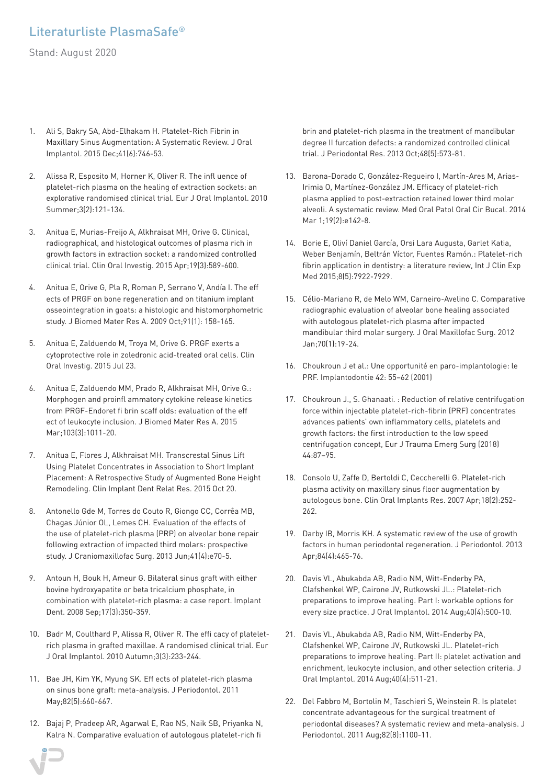## Literaturliste PlasmaSafe®

Stand: August 2020

- 1. Ali S, Bakry SA, Abd-Elhakam H. Platelet-Rich Fibrin in Maxillary Sinus Augmentation: A Systematic Review. J Oral Implantol. 2015 Dec;41(6):746-53.
- 2. Alissa R, Esposito M, Horner K, Oliver R. The infl uence of platelet-rich plasma on the healing of extraction sockets: an explorative randomised clinical trial. Eur J Oral Implantol. 2010 Summer;3(2):121-134.
- 3. Anitua E, Murias-Freijo A, Alkhraisat MH, Orive G. Clinical, radiographical, and histological outcomes of plasma rich in growth factors in extraction socket: a randomized controlled clinical trial. Clin Oral Investig. 2015 Apr;19(3):589-600.
- 4. Anitua E, Orive G, Pla R, Roman P, Serrano V, Andía I. The eff ects of PRGF on bone regeneration and on titanium implant osseointegration in goats: a histologic and histomorphometric study. J Biomed Mater Res A. 2009 Oct;91(1): 158-165.
- 5. Anitua E, Zalduendo M, Troya M, Orive G. PRGF exerts a cytoprotective role in zoledronic acid-treated oral cells. Clin Oral Investig. 2015 Jul 23.
- 6. Anitua E, Zalduendo MM, Prado R, Alkhraisat MH, Orive G.: Morphogen and proinfl ammatory cytokine release kinetics from PRGF-Endoret fi brin scaff olds: evaluation of the eff ect of leukocyte inclusion. J Biomed Mater Res A. 2015 Mar;103(3):1011-20.
- 7. Anitua E, Flores J, Alkhraisat MH. Transcrestal Sinus Lift Using Platelet Concentrates in Association to Short Implant Placement: A Retrospective Study of Augmented Bone Height Remodeling. Clin Implant Dent Relat Res. 2015 Oct 20.
- 8. Antonello Gde M, Torres do Couto R, Giongo CC, Corrêa MB, Chagas Júnior OL, Lemes CH. Evaluation of the effects of the use of platelet-rich plasma (PRP) on alveolar bone repair following extraction of impacted third molars: prospective study. J Craniomaxillofac Surg. 2013 Jun;41(4):e70-5.
- 9. Antoun H, Bouk H, Ameur G. Bilateral sinus graft with either bovine hydroxyapatite or beta tricalcium phosphate, in combination with platelet-rich plasma: a case report. Implant Dent. 2008 Sep;17(3):350-359.
- 10. Badr M, Coulthard P, Alissa R, Oliver R. The effi cacy of plateletrich plasma in grafted maxillae. A randomised clinical trial. Eur J Oral Implantol. 2010 Autumn;3(3):233-244.
- 11. Bae JH, Kim YK, Myung SK. Eff ects of platelet-rich plasma on sinus bone graft: meta-analysis. J Periodontol. 2011 May;82(5):660-667.
- 12. Bajaj P, Pradeep AR, Agarwal E, Rao NS, Naik SB, Priyanka N, Kalra N. Comparative evaluation of autologous platelet-rich fi

brin and platelet-rich plasma in the treatment of mandibular degree II furcation defects: a randomized controlled clinical trial. J Periodontal Res. 2013 Oct;48(5):573-81.

- 13. Barona-Dorado C, González-Regueiro I, Martín-Ares M, Arias-Irimia O, Martínez-González JM. Efficacy of platelet-rich plasma applied to post-extraction retained lower third molar alveoli. A systematic review. Med Oral Patol Oral Cir Bucal. 2014 Mar 1;19(2):e142-8.
- 14. Borie E, Oliví Daniel García, Orsi Lara Augusta, Garlet Katia, Weber Benjamín, Beltrán Víctor, Fuentes Ramón.: Platelet-rich fibrin application in dentistry: a literature review, Int J Clin Exp Med 2015;8(5):7922-7929.
- 15. Célio-Mariano R, de Melo WM, Carneiro-Avelino C. Comparative radiographic evaluation of alveolar bone healing associated with autologous platelet-rich plasma after impacted mandibular third molar surgery. J Oral Maxillofac Surg. 2012 Jan;70(1):19-24.
- 16. Choukroun J et al.: Une opportunité en paro-implantologie: le PRF. Implantodontie 42: 55–62 (2001)
- 17. Choukroun J., S. Ghanaati. : Reduction of relative centrifugation force within injectable platelet-rich-fibrin (PRF) concentrates advances patients' own inflammatory cells, platelets and growth factors: the first introduction to the low speed centrifugation concept, Eur J Trauma Emerg Surg (2018) 44:87–95.
- 18. Consolo U, Zaffe D, Bertoldi C, Ceccherelli G. Platelet-rich plasma activity on maxillary sinus floor augmentation by autologous bone. Clin Oral Implants Res. 2007 Apr;18(2):252- 262.
- 19. Darby IB, Morris KH. A systematic review of the use of growth factors in human periodontal regeneration. J Periodontol. 2013 Apr;84(4):465-76.
- 20. Davis VL, Abukabda AB, Radio NM, Witt-Enderby PA, Clafshenkel WP, Cairone JV, Rutkowski JL.: Platelet-rich preparations to improve healing. Part I: workable options for every size practice. J Oral Implantol. 2014 Aug;40(4):500-10.
- 21. Davis VL, Abukabda AB, Radio NM, Witt-Enderby PA, Clafshenkel WP, Cairone JV, Rutkowski JL. Platelet-rich preparations to improve healing. Part II: platelet activation and enrichment, leukocyte inclusion, and other selection criteria. J Oral Implantol. 2014 Aug;40(4):511-21.
- 22. Del Fabbro M, Bortolin M, Taschieri S, Weinstein R. Is platelet concentrate advantageous for the surgical treatment of periodontal diseases? A systematic review and meta-analysis. J Periodontol. 2011 Aug;82(8):1100-11.

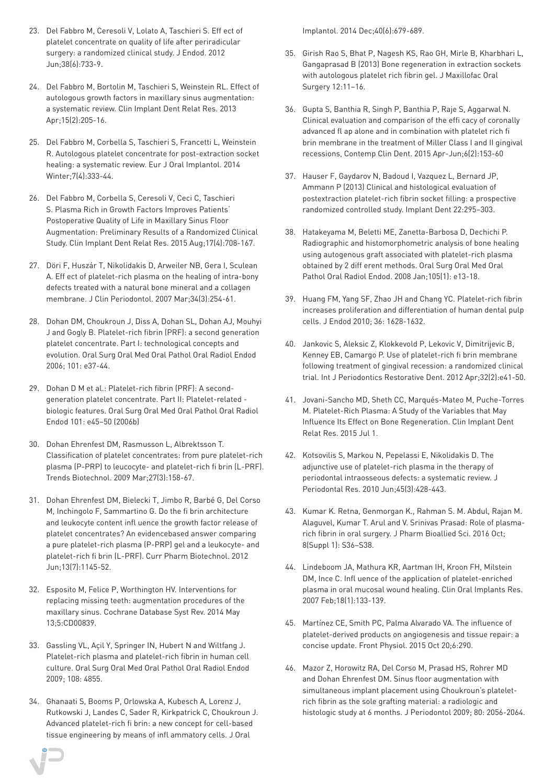- 23. Del Fabbro M, Ceresoli V, Lolato A, Taschieri S. Eff ect of platelet concentrate on quality of life after periradicular surgery: a randomized clinical study. J Endod. 2012 Jun;38(6):733-9.
- 24. Del Fabbro M, Bortolin M, Taschieri S, Weinstein RL. Effect of autologous growth factors in maxillary sinus augmentation: a systematic review. Clin Implant Dent Relat Res. 2013 Apr;15(2):205-16.
- 25. Del Fabbro M, Corbella S, Taschieri S, Francetti L, Weinstein R. Autologous platelet concentrate for post-extraction socket healing: a systematic review. Eur J Oral Implantol. 2014 Winter;7(4):333-44.
- 26. Del Fabbro M, Corbella S, Ceresoli V, Ceci C, Taschieri S. Plasma Rich in Growth Factors Improves Patients' Postoperative Quality of Life in Maxillary Sinus Floor Augmentation: Preliminary Results of a Randomized Clinical Study. Clin Implant Dent Relat Res. 2015 Aug;17(4):708-167.
- 27. Döri F, Huszár T, Nikolidakis D, Arweiler NB, Gera I, Sculean A. Eff ect of platelet-rich plasma on the healing of intra-bony defects treated with a natural bone mineral and a collagen membrane. J Clin Periodontol. 2007 Mar;34(3):254-61.
- 28. Dohan DM, Choukroun J, Diss A, Dohan SL, Dohan AJ, Mouhyi J and Gogly B. Platelet-rich fibrin (PRF): a second generation platelet concentrate. Part I: technological concepts and evolution. Oral Surg Oral Med Oral Pathol Oral Radiol Endod 2006; 101: e37-44.
- 29. Dohan D M et al.: Platelet-rich fibrin (PRF): A secondgeneration platelet concentrate. Part II: Platelet-related biologic features. Oral Surg Oral Med Oral Pathol Oral Radiol Endod 101: e45–50 (2006b)
- 30. Dohan Ehrenfest DM, Rasmusson L, Albrektsson T. Classification of platelet concentrates: from pure platelet-rich plasma (P-PRP) to leucocyte- and platelet-rich fi brin (L-PRF). Trends Biotechnol. 2009 Mar;27(3):158-67.
- 31. Dohan Ehrenfest DM, Bielecki T, Jimbo R, Barbé G, Del Corso M, Inchingolo F, Sammartino G. Do the fi brin architecture and leukocyte content infl uence the growth factor release of platelet concentrates? An evidencebased answer comparing a pure platelet-rich plasma (P-PRP) gel and a leukocyte- and platelet-rich fi brin (L-PRF). Curr Pharm Biotechnol. 2012 Jun;13(7):1145-52.
- 32. Esposito M, Felice P, Worthington HV. Interventions for replacing missing teeth: augmentation procedures of the maxillary sinus. Cochrane Database Syst Rev. 2014 May 13;5:CD00839.
- 33. Gassling VL, Açil Y, Springer IN, Hubert N and Wiltfang J. Platelet-rich plasma and platelet-rich fibrin in human cell culture. Oral Surg Oral Med Oral Pathol Oral Radiol Endod 2009; 108: 4855.
- 34. Ghanaati S, Booms P, Orlowska A, Kubesch A, Lorenz J, Rutkowski J, Landes C, Sader R, Kirkpatrick C, Choukroun J. Advanced platelet-rich fi brin: a new concept for cell-based tissue engineering by means of infl ammatory cells. J Oral

Implantol. 2014 Dec;40(6):679-689.

- 35. Girish Rao S, Bhat P, Nagesh KS, Rao GH, Mirle B, Kharbhari L, Gangaprasad B (2013) Bone regeneration in extraction sockets with autologous platelet rich fibrin gel. J Maxillofac Oral Surgery 12:11–16.
- 36. Gupta S, Banthia R, Singh P, Banthia P, Raje S, Aggarwal N. Clinical evaluation and comparison of the effi cacy of coronally advanced fl ap alone and in combination with platelet rich fi brin membrane in the treatment of Miller Class I and II gingival recessions, Contemp Clin Dent. 2015 Apr-Jun;6(2):153-60
- 37. Hauser F, Gaydarov N, Badoud I, Vazquez L, Bernard JP, Ammann P (2013) Clinical and histological evaluation of postextraction platelet-rich fibrin socket filling: a prospective randomized controlled study. Implant Dent 22:295–303.
- 38. Hatakeyama M, Beletti ME, Zanetta-Barbosa D, Dechichi P. Radiographic and histomorphometric analysis of bone healing using autogenous graft associated with platelet-rich plasma obtained by 2 diff erent methods. Oral Surg Oral Med Oral Pathol Oral Radiol Endod. 2008 Jan;105(1): e13-18.
- 39. Huang FM, Yang SF, Zhao JH and Chang YC. Platelet-rich fibrin increases proliferation and differentiation of human dental pulp cells. J Endod 2010; 36: 1628-1632.
- 40. Jankovic S, Aleksic Z, Klokkevold P, Lekovic V, Dimitrijevic B, Kenney EB, Camargo P. Use of platelet-rich fi brin membrane following treatment of gingival recession: a randomized clinical trial. Int J Periodontics Restorative Dent. 2012 Apr;32(2):e41-50.
- 41. Jovani-Sancho MD, Sheth CC, Marqués-Mateo M, Puche-Torres M. Platelet-Rich Plasma: A Study of the Variables that May Influence Its Effect on Bone Regeneration. Clin Implant Dent Relat Res. 2015 Jul 1.
- 42. Kotsovilis S, Markou N, Pepelassi E, Nikolidakis D. The adjunctive use of platelet-rich plasma in the therapy of periodontal intraosseous defects: a systematic review. J Periodontal Res. 2010 Jun;45(3):428-443.
- 43. Kumar K. Retna, Genmorgan K., Rahman S. M. Abdul, Rajan M. Alaguvel, Kumar T. Arul and V. Srinivas Prasad: Role of plasmarich fibrin in oral surgery. J Pharm Bioallied Sci. 2016 Oct; 8(Suppl 1): S36–S38.
- 44. Lindeboom JA, Mathura KR, Aartman IH, Kroon FH, Milstein DM, Ince C. Infl uence of the application of platelet-enriched plasma in oral mucosal wound healing. Clin Oral Implants Res. 2007 Feb;18(1):133-139.
- 45. Martínez CE, Smith PC, Palma Alvarado VA. The influence of platelet-derived products on angiogenesis and tissue repair: a concise update. Front Physiol. 2015 Oct 20;6:290.
- 46. Mazor Z, Horowitz RA, Del Corso M, Prasad HS, Rohrer MD and Dohan Ehrenfest DM. Sinus floor augmentation with simultaneous implant placement using Choukroun's plateletrich fibrin as the sole grafting material: a radiologic and histologic study at 6 months. J Periodontol 2009; 80: 2056-2064.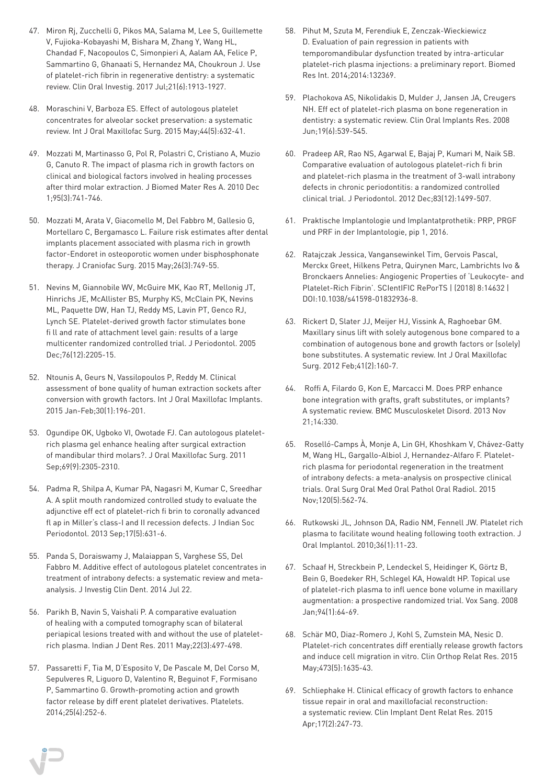- 47. Miron Rj, Zucchelli G, Pikos MA, Salama M, Lee S, Guillemette V, Fujioka-Kobayashi M, Bishara M, Zhang Y, Wang HL, Chandad F, Nacopoulos C, Simonpieri A, Aalam AA, Felice P, Sammartino G, Ghanaati S, Hernandez MA, Choukroun J. Use of platelet-rich fibrin in regenerative dentistry: a systematic review. Clin Oral Investig. 2017 Jul;21(6):1913-1927.
- 48. Moraschini V, Barboza ES. Effect of autologous platelet concentrates for alveolar socket preservation: a systematic review. Int J Oral Maxillofac Surg. 2015 May;44(5):632-41.
- 49. Mozzati M, Martinasso G, Pol R, Polastri C, Cristiano A, Muzio G, Canuto R. The impact of plasma rich in growth factors on clinical and biological factors involved in healing processes after third molar extraction. J Biomed Mater Res A. 2010 Dec 1;95(3):741-746.
- 50. Mozzati M, Arata V, Giacomello M, Del Fabbro M, Gallesio G, Mortellaro C, Bergamasco L. Failure risk estimates after dental implants placement associated with plasma rich in growth factor-Endoret in osteoporotic women under bisphosphonate therapy. J Craniofac Surg. 2015 May;26(3):749-55.
- 51. Nevins M, Giannobile WV, McGuire MK, Kao RT, Mellonig JT, Hinrichs JE, McAllister BS, Murphy KS, McClain PK, Nevins ML, Paquette DW, Han TJ, Reddy MS, Lavin PT, Genco RJ, Lynch SE. Platelet-derived growth factor stimulates bone fi ll and rate of attachment level gain: results of a large multicenter randomized controlled trial. J Periodontol. 2005 Dec;76(12):2205-15.
- 52. Ntounis A, Geurs N, Vassilopoulos P, Reddy M. Clinical assessment of bone quality of human extraction sockets after conversion with growth factors. Int J Oral Maxillofac Implants. 2015 Jan-Feb;30(1):196-201.
- 53. Ogundipe OK, Ugboko VI, Owotade FJ. Can autologous plateletrich plasma gel enhance healing after surgical extraction of mandibular third molars?. J Oral Maxillofac Surg. 2011 Sep;69(9):2305-2310.
- 54. Padma R, Shilpa A, Kumar PA, Nagasri M, Kumar C, Sreedhar A. A split mouth randomized controlled study to evaluate the adjunctive eff ect of platelet-rich fi brin to coronally advanced fl ap in Miller's class-I and II recession defects. J Indian Soc Periodontol. 2013 Sep;17(5):631-6.
- 55. Panda S, Doraiswamy J, Malaiappan S, Varghese SS, Del Fabbro M. Additive effect of autologous platelet concentrates in treatment of intrabony defects: a systematic review and metaanalysis. J Investig Clin Dent. 2014 Jul 22.
- 56. Parikh B, Navin S, Vaishali P. A comparative evaluation of healing with a computed tomography scan of bilateral periapical lesions treated with and without the use of plateletrich plasma. Indian J Dent Res. 2011 May;22(3):497-498.
- 57. Passaretti F, Tia M, D'Esposito V, De Pascale M, Del Corso M, Sepulveres R, Liguoro D, Valentino R, Beguinot F, Formisano P, Sammartino G. Growth-promoting action and growth factor release by diff erent platelet derivatives. Platelets. 2014;25(4):252-6.
- 58. Pihut M, Szuta M, Ferendiuk E, Zenczak-Wieckiewicz D. Evaluation of pain regression in patients with temporomandibular dysfunction treated by intra-articular platelet-rich plasma injections: a preliminary report. Biomed Res Int. 2014;2014:132369.
- 59. Plachokova AS, Nikolidakis D, Mulder J, Jansen JA, Creugers NH. Eff ect of platelet-rich plasma on bone regeneration in dentistry: a systematic review. Clin Oral Implants Res. 2008 Jun;19(6):539-545.
- 60. Pradeep AR, Rao NS, Agarwal E, Bajaj P, Kumari M, Naik SB. Comparative evaluation of autologous platelet-rich fi brin and platelet-rich plasma in the treatment of 3-wall intrabony defects in chronic periodontitis: a randomized controlled clinical trial. J Periodontol. 2012 Dec;83(12):1499-507.
- 61. Praktische Implantologie und Implantatprothetik: PRP, PRGF und PRF in der Implantologie, pip 1, 2016.
- 62. Ratajczak Jessica, Vangansewinkel Tim, Gervois Pascal, Merckx Greet, Hilkens Petra, Quirynen Marc, Lambrichts Ivo & Bronckaers Annelies: Angiogenic Properties of 'Leukocyte- and Platelet-Rich Fibrin'. SCIentIFIC RePorTS | (2018) 8:14632 | DOI:10.1038/s41598-01832936-8.
- 63. Rickert D, Slater JJ, Meijer HJ, Vissink A, Raghoebar GM. Maxillary sinus lift with solely autogenous bone compared to a combination of autogenous bone and growth factors or (solely) bone substitutes. A systematic review. Int J Oral Maxillofac Surg. 2012 Feb;41(2):160-7.
- 64. Roffi A, Filardo G, Kon E, Marcacci M. Does PRP enhance bone integration with grafts, graft substitutes, or implants? A systematic review. BMC Musculoskelet Disord. 2013 Nov 21;14:330.
- 65. Roselló-Camps À, Monje A, Lin GH, Khoshkam V, Chávez-Gatty M, Wang HL, Gargallo-Albiol J, Hernandez-Alfaro F. Plateletrich plasma for periodontal regeneration in the treatment of intrabony defects: a meta-analysis on prospective clinical trials. Oral Surg Oral Med Oral Pathol Oral Radiol. 2015 Nov;120(5):562-74.
- 66. Rutkowski JL, Johnson DA, Radio NM, Fennell JW. Platelet rich plasma to facilitate wound healing following tooth extraction. J Oral Implantol. 2010;36(1):11-23.
- 67. Schaaf H, Streckbein P, Lendeckel S, Heidinger K, Görtz B, Bein G, Boedeker RH, Schlegel KA, Howaldt HP. Topical use of platelet-rich plasma to infl uence bone volume in maxillary augmentation: a prospective randomized trial. Vox Sang. 2008 Jan;94(1):64-69.
- 68. Schär MO, Diaz-Romero J, Kohl S, Zumstein MA, Nesic D. Platelet-rich concentrates diff erentially release growth factors and induce cell migration in vitro. Clin Orthop Relat Res. 2015 May;473(5):1635-43.
- 69. Schliephake H. Clinical efficacy of growth factors to enhance tissue repair in oral and maxillofacial reconstruction: a systematic review. Clin Implant Dent Relat Res. 2015 Apr;17(2):247-73.